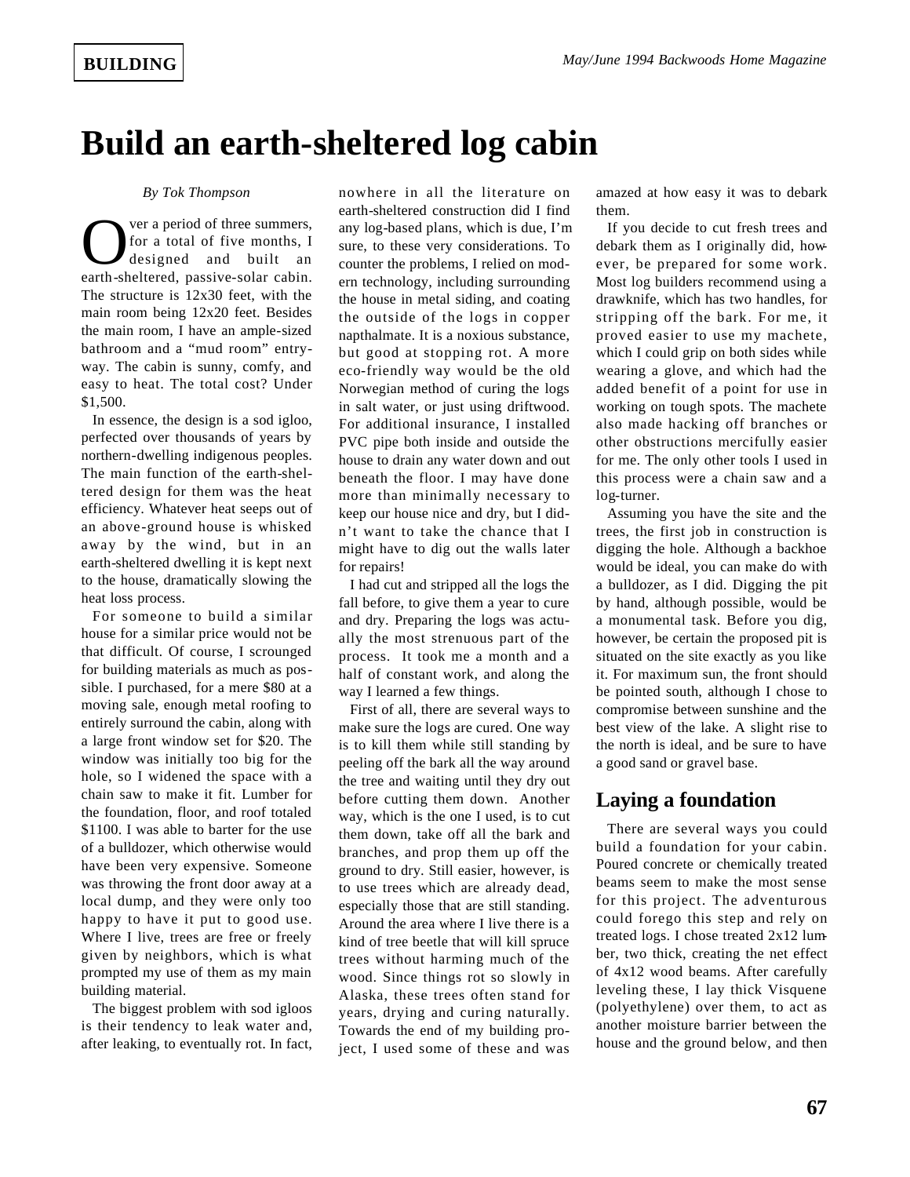# **Build an earth-sheltered log cabin**

#### *By Tok Thompson*

Over a period of three summers,<br>for a total of five months, I<br>designed and built an<br>earth-sheltered, passive-solar cabin. ver a period of three summers, for a total of five months, I designed and built an The structure is 12x30 feet, with the main room being 12x20 feet. Besides the main room, I have an ample-sized bathroom and a "mud room" entryway. The cabin is sunny, comfy, and easy to heat. The total cost? Under \$1,500.

In essence, the design is a sod igloo, perfected over thousands of years by northern-dwelling indigenous peoples. The main function of the earth-sheltered design for them was the heat efficiency. Whatever heat seeps out of an above-ground house is whisked away by the wind, but in an earth-sheltered dwelling it is kept next to the house, dramatically slowing the heat loss process.

For someone to build a similar house for a similar price would not be that difficult. Of course, I scrounged for building materials as much as possible. I purchased, for a mere \$80 at a moving sale, enough metal roofing to entirely surround the cabin, along with a large front window set for \$20. The window was initially too big for the hole, so I widened the space with a chain saw to make it fit. Lumber for the foundation, floor, and roof totaled \$1100. I was able to barter for the use of a bulldozer, which otherwise would have been very expensive. Someone was throwing the front door away at a local dump, and they were only too happy to have it put to good use. Where I live, trees are free or freely given by neighbors, which is what prompted my use of them as my main building material.

The biggest problem with sod igloos is their tendency to leak water and, after leaking, to eventually rot. In fact,

nowhere in all the literature on earth-sheltered construction did I find any log-based plans, which is due, I'm sure, to these very considerations. To counter the problems, I relied on modern technology, including surrounding the house in metal siding, and coating the outside of the logs in copper napthalmate. It is a noxious substance, but good at stopping rot. A more eco-friendly way would be the old Norwegian method of curing the logs in salt water, or just using driftwood. For additional insurance, I installed PVC pipe both inside and outside the house to drain any water down and out beneath the floor. I may have done more than minimally necessary to keep our house nice and dry, but I didn't want to take the chance that I might have to dig out the walls later for repairs!

I had cut and stripped all the logs the fall before, to give them a year to cure and dry. Preparing the logs was actually the most strenuous part of the process. It took me a month and a half of constant work, and along the way I learned a few things.

First of all, there are several ways to make sure the logs are cured. One way is to kill them while still standing by peeling off the bark all the way around the tree and waiting until they dry out before cutting them down. Another way, which is the one I used, is to cut them down, take off all the bark and branches, and prop them up off the ground to dry. Still easier, however, is to use trees which are already dead, especially those that are still standing. Around the area where I live there is a kind of tree beetle that will kill spruce trees without harming much of the wood. Since things rot so slowly in Alaska, these trees often stand for years, drying and curing naturally. Towards the end of my building project, I used some of these and was

amazed at how easy it was to debark them.

If you decide to cut fresh trees and debark them as I originally did, however, be prepared for some work. Most log builders recommend using a drawknife, which has two handles, for stripping off the bark. For me, it proved easier to use my machete, which I could grip on both sides while wearing a glove, and which had the added benefit of a point for use in working on tough spots. The machete also made hacking off branches or other obstructions mercifully easier for me. The only other tools I used in this process were a chain saw and a log-turner.

Assuming you have the site and the trees, the first job in construction is digging the hole. Although a backhoe would be ideal, you can make do with a bulldozer, as I did. Digging the pit by hand, although possible, would be a monumental task. Before you dig, however, be certain the proposed pit is situated on the site exactly as you like it. For maximum sun, the front should be pointed south, although I chose to compromise between sunshine and the best view of the lake. A slight rise to the north is ideal, and be sure to have a good sand or gravel base.

### **Laying a foundation**

There are several ways you could build a foundation for your cabin. Poured concrete or chemically treated beams seem to make the most sense for this project. The adventurous could forego this step and rely on treated logs. I chose treated 2x12 lumber, two thick, creating the net effect of 4x12 wood beams. After carefully leveling these, I lay thick Visquene (polyethylene) over them, to act as another moisture barrier between the house and the ground below, and then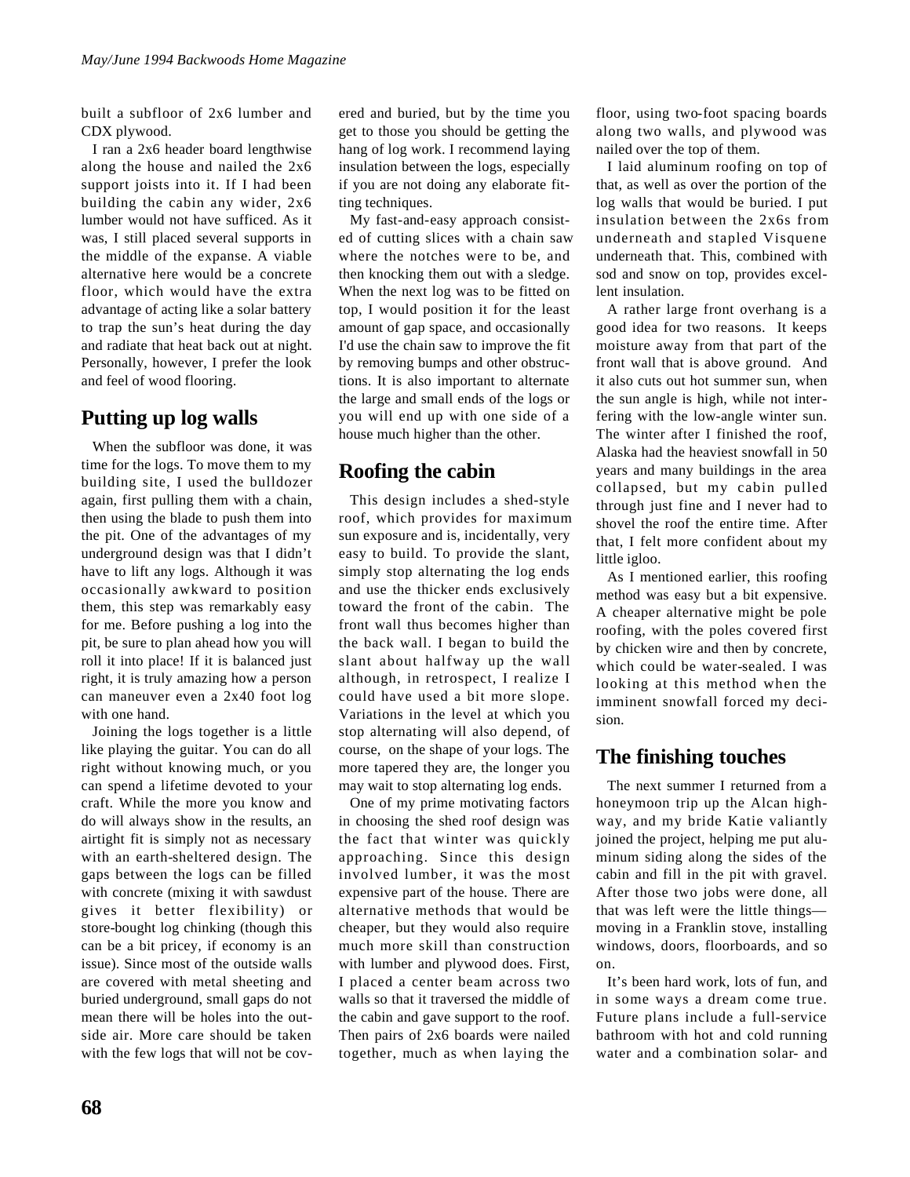built a subfloor of 2x6 lumber and CDX plywood.

I ran a 2x6 header board lengthwise along the house and nailed the 2x6 support joists into it. If I had been building the cabin any wider, 2x6 lumber would not have sufficed. As it was, I still placed several supports in the middle of the expanse. A viable alternative here would be a concrete floor, which would have the extra advantage of acting like a solar battery to trap the sun's heat during the day and radiate that heat back out at night. Personally, however, I prefer the look and feel of wood flooring.

# **Putting up log walls**

When the subfloor was done, it was time for the logs. To move them to my building site, I used the bulldozer again, first pulling them with a chain, then using the blade to push them into the pit. One of the advantages of my underground design was that I didn't have to lift any logs. Although it was occasionally awkward to position them, this step was remarkably easy for me. Before pushing a log into the pit, be sure to plan ahead how you will roll it into place! If it is balanced just right, it is truly amazing how a person can maneuver even a 2x40 foot log with one hand.

Joining the logs together is a little like playing the guitar. You can do all right without knowing much, or you can spend a lifetime devoted to your craft. While the more you know and do will always show in the results, an airtight fit is simply not as necessary with an earth-sheltered design. The gaps between the logs can be filled with concrete (mixing it with sawdust gives it better flexibility) or store-bought log chinking (though this can be a bit pricey, if economy is an issue). Since most of the outside walls are covered with metal sheeting and buried underground, small gaps do not mean there will be holes into the outside air. More care should be taken with the few logs that will not be covered and buried, but by the time you get to those you should be getting the hang of log work. I recommend laying insulation between the logs, especially if you are not doing any elaborate fitting techniques.

My fast-and-easy approach consisted of cutting slices with a chain saw where the notches were to be, and then knocking them out with a sledge. When the next log was to be fitted on top, I would position it for the least amount of gap space, and occasionally I'd use the chain saw to improve the fit by removing bumps and other obstructions. It is also important to alternate the large and small ends of the logs or you will end up with one side of a house much higher than the other.

# **Roofing the cabin**

This design includes a shed-style roof, which provides for maximum sun exposure and is, incidentally, very easy to build. To provide the slant, simply stop alternating the log ends and use the thicker ends exclusively toward the front of the cabin. The front wall thus becomes higher than the back wall. I began to build the slant about halfway up the wall although, in retrospect, I realize I could have used a bit more slope. Variations in the level at which you stop alternating will also depend, of course, on the shape of your logs. The more tapered they are, the longer you may wait to stop alternating log ends.

One of my prime motivating factors in choosing the shed roof design was the fact that winter was quickly approaching. Since this design involved lumber, it was the most expensive part of the house. There are alternative methods that would be cheaper, but they would also require much more skill than construction with lumber and plywood does. First, I placed a center beam across two walls so that it traversed the middle of the cabin and gave support to the roof. Then pairs of 2x6 boards were nailed together, much as when laying the

floor, using two-foot spacing boards along two walls, and plywood was nailed over the top of them.

I laid aluminum roofing on top of that, as well as over the portion of the log walls that would be buried. I put insulation between the 2x6s from underneath and stapled Visquene underneath that. This, combined with sod and snow on top, provides excellent insulation.

A rather large front overhang is a good idea for two reasons. It keeps moisture away from that part of the front wall that is above ground. And it also cuts out hot summer sun, when the sun angle is high, while not interfering with the low-angle winter sun. The winter after I finished the roof, Alaska had the heaviest snowfall in 50 years and many buildings in the area collapsed, but my cabin pulled through just fine and I never had to shovel the roof the entire time. After that, I felt more confident about my little igloo.

As I mentioned earlier, this roofing method was easy but a bit expensive. A cheaper alternative might be pole roofing, with the poles covered first by chicken wire and then by concrete, which could be water-sealed. I was looking at this method when the imminent snowfall forced my decision.

### **The finishing touches**

The next summer I returned from a honeymoon trip up the Alcan highway, and my bride Katie valiantly joined the project, helping me put aluminum siding along the sides of the cabin and fill in the pit with gravel. After those two jobs were done, all that was left were the little things moving in a Franklin stove, installing windows, doors, floorboards, and so on.

It's been hard work, lots of fun, and in some ways a dream come true. Future plans include a full-service bathroom with hot and cold running water and a combination solar- and